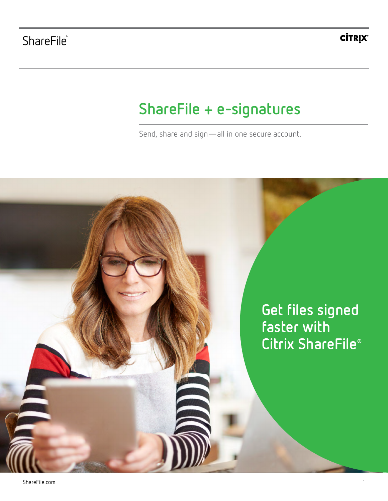**CİTRỊX®** 

# **ShareFile + e-signatures**

Send, share and sign—all in one secure account.

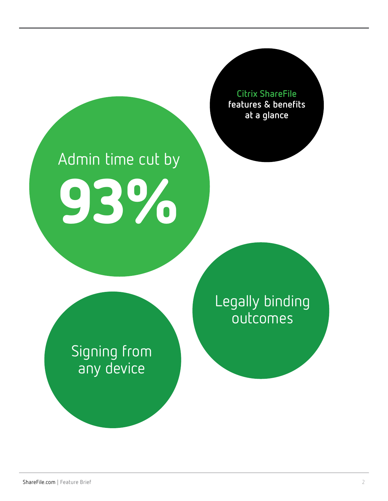

# Admin time cut by 93%

Legally binding outcomes

Signing from any device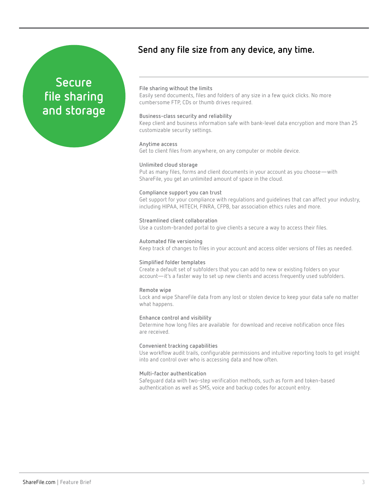## **Secure file sharing and storage**

### **Send any file size from any device, any time.**

#### **File sharing without the limits**

Easily send documents, files and folders of any size in a few quick clicks. No more cumbersome FTP, CDs or thumb drives required.

#### **Business-class security and reliability**

Keep client and business information safe with bank-level data encryption and more than 25 customizable security settings.

#### **Anytime access**

Get to client files from anywhere, on any computer or mobile device.

#### **Unlimited cloud storage**

Put as many files, forms and client documents in your account as you choose—with ShareFile, you get an unlimited amount of space in the cloud.

#### **Compliance support you can trust**

Get support for your compliance with regulations and guidelines that can affect your industry, including HIPAA, HITECH, FINRA, CFPB, bar association ethics rules and more.

#### **Streamlined client collaboration**

Use a custom-branded portal to give clients a secure a way to access their files.

#### **Automated file versioning**

Keep track of changes to files in your account and access older versions of files as needed.

#### **Simplified folder templates**

Create a default set of subfolders that you can add to new or existing folders on your account—it's a faster way to set up new clients and access frequently used subfolders.

#### **Remote wipe**

Lock and wipe ShareFile data from any lost or stolen device to keep your data safe no matter what happens.

#### **Enhance control and visibility**

Determine how long files are available for download and receive notification once files are received.

#### **Convenient tracking capabilities**

Use workflow audit trails, configurable permissions and intuitive reporting tools to get insight into and control over who is accessing data and how often.

#### **Multi-factor authentication**

Safeguard data with two-step verification methods, such as form and token-based authentication as well as SMS, voice and backup codes for account entry.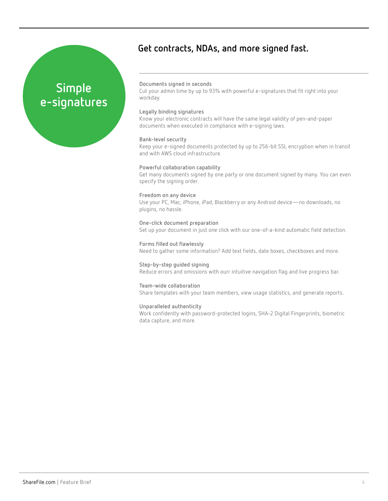## **Get contracts, NDAs, and more signed fast.**

## **Simple e-signatures**

#### **Documents signed in seconds**

Cut your admin time by up to 93% with powerful e-signatures that fit right into your workday.

#### **Legally binding signatures**

Know your electronic contracts will have the same legal validity of pen-and-paper documents when executed in compliance with e-signing laws.

#### **Bank-level security**

Keep your e-signed documents protected by up to 256-bit SSL encryption when in transit and with AWS cloud infrastructure.

#### **Powerful collaboration capability**

Get many documents signed by one party or one document signed by many. You can even specify the signing order.

#### **Freedom on any device**

Use your PC, Mac, iPhone, iPad, Blackberry or any Android device—no downloads, no plugins, no hassle.

#### **One-click document preparation** Set up your document in just one click with our one-of-a-kind automatic field detection.

**Forms filled out flawlessly** Need to gather some information? Add text fields, date boxes, checkboxes and more.

**Step-by-step guided signing** Reduce errors and omissions with ourr intuitive navigation flag and live progress bar.

**Team-wide collaboration** Share templates with your team members, view usage statistics, and generate reports.

#### **Unparalleled authenticity**

Work confidently with password-protected logins, SHA-2 Digital Fingerprints, biometric data capture, and more.